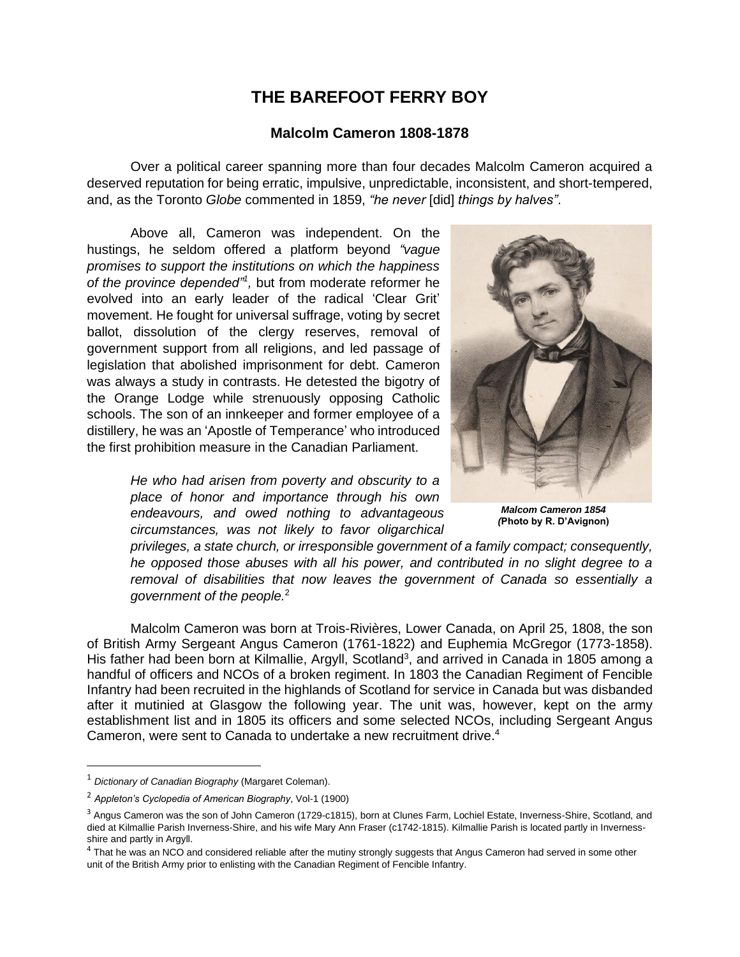## **THE BAREFOOT FERRY BOY**

## **Malcolm Cameron 1808-1878**

Over a political career spanning more than four decades Malcolm Cameron acquired a deserved reputation for being erratic, impulsive, unpredictable, inconsistent, and short-tempered, and, as the Toronto *Globe* commented in 1859, *"he never* [did] *things by halves"*.

Above all, Cameron was independent. On the hustings, he seldom offered a platform beyond *"vague promises to support the institutions on which the happiness of the province depended"<sup>1</sup> ,* but from moderate reformer he evolved into an early leader of the radical 'Clear Grit' movement. He fought for universal suffrage, voting by secret ballot, dissolution of the clergy reserves, removal of government support from all religions, and led passage of legislation that abolished imprisonment for debt. Cameron was always a study in contrasts. He detested the bigotry of the Orange Lodge while strenuously opposing Catholic schools. The son of an innkeeper and former employee of a distillery, he was an 'Apostle of Temperance' who introduced the first prohibition measure in the Canadian Parliament.

> *He who had arisen from poverty and obscurity to a place of honor and importance through his own endeavours, and owed nothing to advantageous circumstances, was not likely to favor oligarchical*



*Malcom Cameron 1854 (***Photo by R. D'Avignon)**

*privileges, a state church, or irresponsible government of a family compact; consequently, he opposed those abuses with all his power, and contributed in no slight degree to a removal of disabilities that now leaves the government of Canada so essentially a government of the people.*<sup>2</sup>

Malcolm Cameron was born at Trois-Rivières, Lower Canada, on April 25, 1808, the son of British Army Sergeant Angus Cameron (1761-1822) and Euphemia McGregor (1773-1858). His father had been born at Kilmallie, Argyll, Scotland<sup>3</sup>, and arrived in Canada in 1805 among a handful of officers and NCOs of a broken regiment. In 1803 the Canadian Regiment of Fencible Infantry had been recruited in the highlands of Scotland for service in Canada but was disbanded after it mutinied at Glasgow the following year. The unit was, however, kept on the army establishment list and in 1805 its officers and some selected NCOs, including Sergeant Angus Cameron, were sent to Canada to undertake a new recruitment drive. 4

<sup>1</sup> *Dictionary of Canadian Biography* (Margaret Coleman).

<sup>2</sup> *Appleton's Cyclopedia of American Biography*, Vol-1 (1900)

<sup>&</sup>lt;sup>3</sup> Angus Cameron was the son of John Cameron (1729-c1815), born at Clunes Farm, Lochiel Estate, Inverness-Shire, Scotland, and died at Kilmallie Parish Inverness-Shire, and his wife Mary Ann Fraser (c1742-1815). Kilmallie Parish is located partly in Invernessshire and partly in Argyll.

<sup>&</sup>lt;sup>4</sup> That he was an NCO and considered reliable after the mutiny strongly suggests that Angus Cameron had served in some other unit of the British Army prior to enlisting with the Canadian Regiment of Fencible Infantry.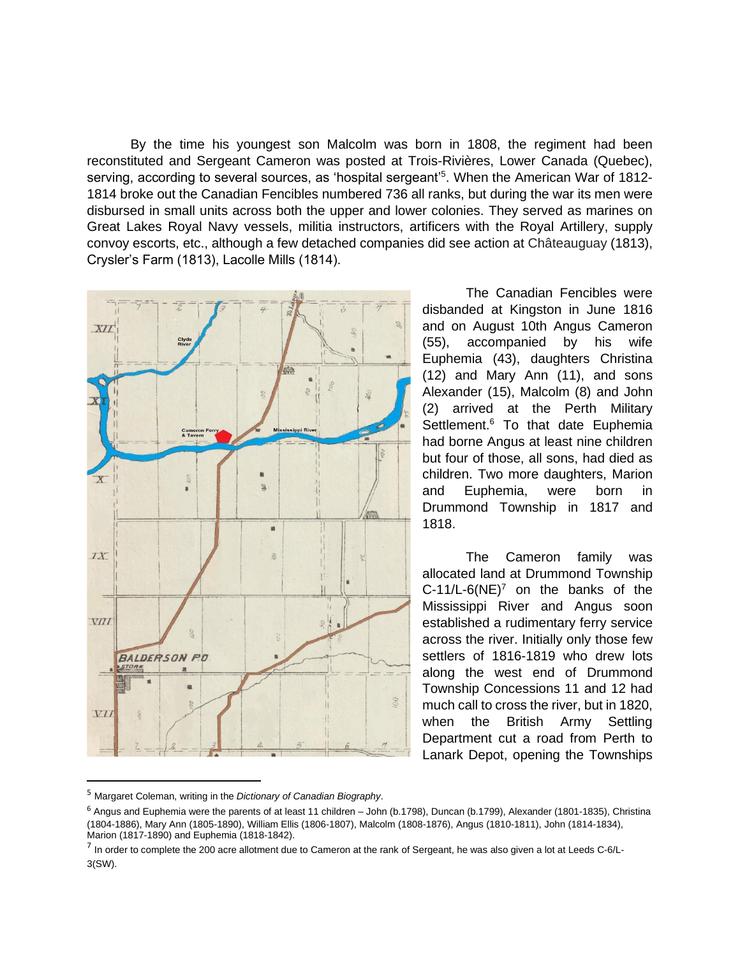By the time his youngest son Malcolm was born in 1808, the regiment had been reconstituted and Sergeant Cameron was posted at Trois-Rivières, Lower Canada (Quebec), serving, according to several sources, as 'hospital sergeant'<sup>5</sup>. When the American War of 1812-1814 broke out the Canadian Fencibles numbered 736 all ranks, but during the war its men were disbursed in small units across both the upper and lower colonies. They served as marines on Great Lakes Royal Navy vessels, militia instructors, artificers with the Royal Artillery, supply convoy escorts, etc., although a few detached companies did see action at Châteauguay (1813), Crysler's Farm (1813), Lacolle Mills (1814).



The Canadian Fencibles were disbanded at Kingston in June 1816 and on August 10th Angus Cameron (55), accompanied by his wife Euphemia (43), daughters Christina (12) and Mary Ann (11), and sons Alexander (15), Malcolm (8) and John (2) arrived at the Perth Military Settlement.<sup>6</sup> To that date Euphemia had borne Angus at least nine children but four of those, all sons, had died as children. Two more daughters, Marion and Euphemia, were born in Drummond Township in 1817 and 1818.

The Cameron family was allocated land at Drummond Township  $C-11/L-6(NE)^7$  on the banks of the Mississippi River and Angus soon established a rudimentary ferry service across the river. Initially only those few settlers of 1816-1819 who drew lots along the west end of Drummond Township Concessions 11 and 12 had much call to cross the river, but in 1820, when the British Army Settling Department cut a road from Perth to Lanark Depot, opening the Townships

<sup>5</sup> Margaret Coleman, writing in the *Dictionary of Canadian Biography*.

 $6$  Angus and Euphemia were the parents of at least 11 children – John (b.1798), Duncan (b.1799), Alexander (1801-1835), Christina (1804-1886), Mary Ann (1805-1890), William Ellis (1806-1807), Malcolm (1808-1876), Angus (1810-1811), John (1814-1834), Marion (1817-1890) and Euphemia (1818-1842).

 $^7$  In order to complete the 200 acre allotment due to Cameron at the rank of Sergeant, he was also given a lot at Leeds C-6/L-3(SW).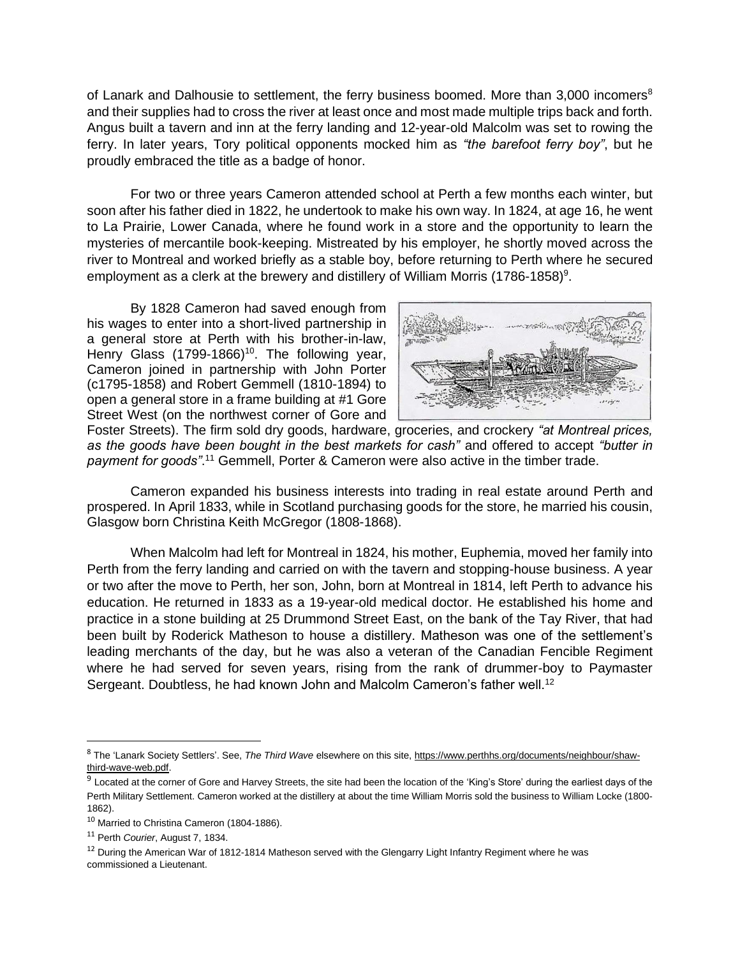of Lanark and Dalhousie to settlement, the ferry business boomed. More than 3,000 incomers<sup>8</sup> and their supplies had to cross the river at least once and most made multiple trips back and forth. Angus built a tavern and inn at the ferry landing and 12-year-old Malcolm was set to rowing the ferry. In later years, Tory political opponents mocked him as *"the barefoot ferry boy"*, but he proudly embraced the title as a badge of honor.

For two or three years Cameron attended school at Perth a few months each winter, but soon after his father died in 1822, he undertook to make his own way. In 1824, at age 16, he went to La Prairie, Lower Canada, where he found work in a store and the opportunity to learn the mysteries of mercantile book-keeping. Mistreated by his employer, he shortly moved across the river to Montreal and worked briefly as a stable boy, before returning to Perth where he secured employment as a clerk at the brewery and distillery of William Morris (1786-1858)<sup>9</sup>.

By 1828 Cameron had saved enough from his wages to enter into a short-lived partnership in a general store at Perth with his brother-in-law, Henry Glass (1799-1866)<sup>10</sup>. The following year, Cameron joined in partnership with John Porter (c1795-1858) and Robert Gemmell (1810-1894) to open a general store in a frame building at #1 Gore Street West (on the northwest corner of Gore and



Foster Streets). The firm sold dry goods, hardware, groceries, and crockery *"at Montreal prices, as the goods have been bought in the best markets for cash"* and offered to accept *"butter in*  payment for goods".<sup>11</sup> Gemmell, Porter & Cameron were also active in the timber trade.

Cameron expanded his business interests into trading in real estate around Perth and prospered. In April 1833, while in Scotland purchasing goods for the store, he married his cousin, Glasgow born Christina Keith McGregor (1808-1868).

When Malcolm had left for Montreal in 1824, his mother, Euphemia, moved her family into Perth from the ferry landing and carried on with the tavern and stopping-house business. A year or two after the move to Perth, her son, John, born at Montreal in 1814, left Perth to advance his education. He returned in 1833 as a 19-year-old medical doctor. He established his home and practice in a stone building at 25 Drummond Street East, on the bank of the Tay River, that had been built by Roderick Matheson to house a distillery. Matheson was one of the settlement's leading merchants of the day, but he was also a veteran of the Canadian Fencible Regiment where he had served for seven years, rising from the rank of drummer-boy to Paymaster Sergeant. Doubtless, he had known John and Malcolm Cameron's father well.<sup>12</sup>

<sup>8</sup> The 'Lanark Society Settlers'. See, *The Third Wave* elsewhere on this site, [https://www.perthhs.org/documents/neighbour/shaw](https://www.perthhs.org/documents/neighbour/shaw-third-wave-web.pdf)[third-wave-web.pdf.](https://www.perthhs.org/documents/neighbour/shaw-third-wave-web.pdf) 

<sup>&</sup>lt;sup>9</sup> Located at the corner of Gore and Harvey Streets, the site had been the location of the 'King's Store' during the earliest days of the Perth Military Settlement. Cameron worked at the distillery at about the time William Morris sold the business to William Locke (1800- 1862).

<sup>&</sup>lt;sup>10</sup> Married to Christina Cameron (1804-1886).

<sup>11</sup> Perth *Courier*, August 7, 1834.

 $12$  During the American War of 1812-1814 Matheson served with the Glengarry Light Infantry Regiment where he was commissioned a Lieutenant.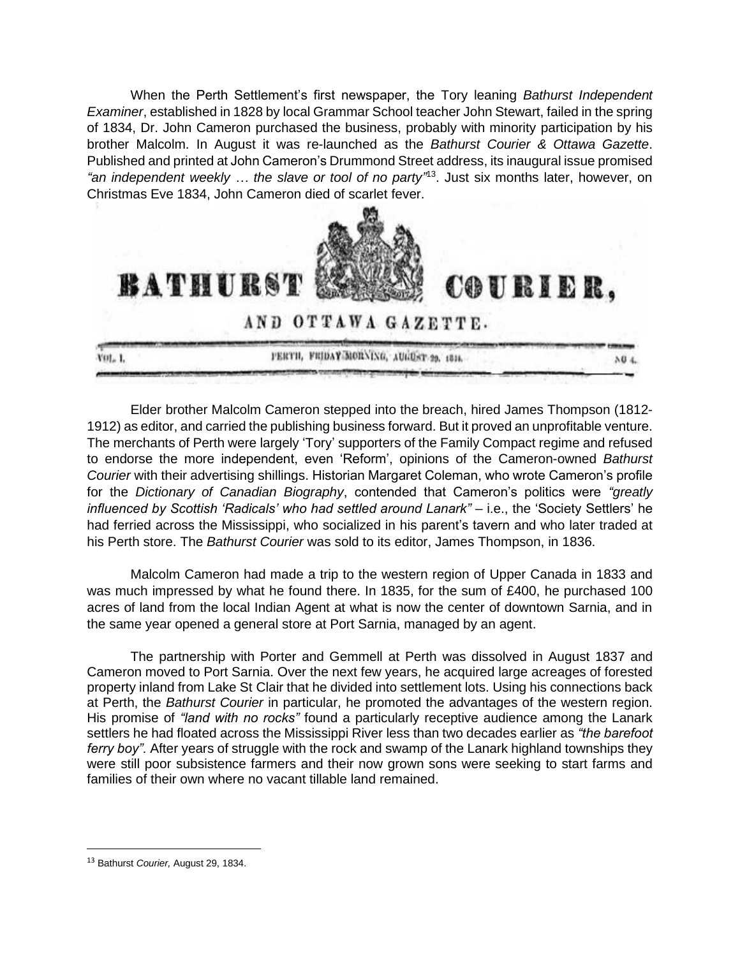When the Perth Settlement's first newspaper, the Tory leaning *Bathurst Independent Examiner*, established in 1828 by local Grammar School teacher John Stewart, failed in the spring of 1834, Dr. John Cameron purchased the business, probably with minority participation by his brother Malcolm. In August it was re-launched as the *Bathurst Courier & Ottawa Gazette*. Published and printed at John Cameron's Drummond Street address, its inaugural issue promised *"an independent weekly … the slave or tool of no party"* 13 . Just six months later, however, on Christmas Eve 1834, John Cameron died of scarlet fever.



AND OTTAWA GAZETTE.

COURIER.

PERTH, FRIDAY-MORNING, AUGUST 29, 1814. Vot. 1.  $104$ 

Elder brother Malcolm Cameron stepped into the breach, hired James Thompson (1812- 1912) as editor, and carried the publishing business forward. But it proved an unprofitable venture. The merchants of Perth were largely 'Tory' supporters of the Family Compact regime and refused to endorse the more independent, even 'Reform', opinions of the Cameron-owned *Bathurst Courier* with their advertising shillings. Historian Margaret Coleman, who wrote Cameron's profile for the *Dictionary of Canadian Biography*, contended that Cameron's politics were *"greatly influenced by Scottish 'Radicals' who had settled around Lanark"* – i.e., the 'Society Settlers' he had ferried across the Mississippi, who socialized in his parent's tavern and who later traded at his Perth store. The *Bathurst Courier* was sold to its editor, James Thompson, in 1836.

Malcolm Cameron had made a trip to the western region of Upper Canada in 1833 and was much impressed by what he found there. In 1835, for the sum of £400, he purchased 100 acres of land from the local Indian Agent at what is now the center of downtown Sarnia, and in the same year opened a general store at Port Sarnia, managed by an agent.

The partnership with Porter and Gemmell at Perth was dissolved in August 1837 and Cameron moved to Port Sarnia. Over the next few years, he acquired large acreages of forested property inland from Lake St Clair that he divided into settlement lots. Using his connections back at Perth, the *Bathurst Courier* in particular, he promoted the advantages of the western region. His promise of *"land with no rocks"* found a particularly receptive audience among the Lanark settlers he had floated across the Mississippi River less than two decades earlier as *"the barefoot ferry boy".* After years of struggle with the rock and swamp of the Lanark highland townships they were still poor subsistence farmers and their now grown sons were seeking to start farms and families of their own where no vacant tillable land remained.

**BATHURST** 

<sup>13</sup> Bathurst *Courier,* August 29, 1834.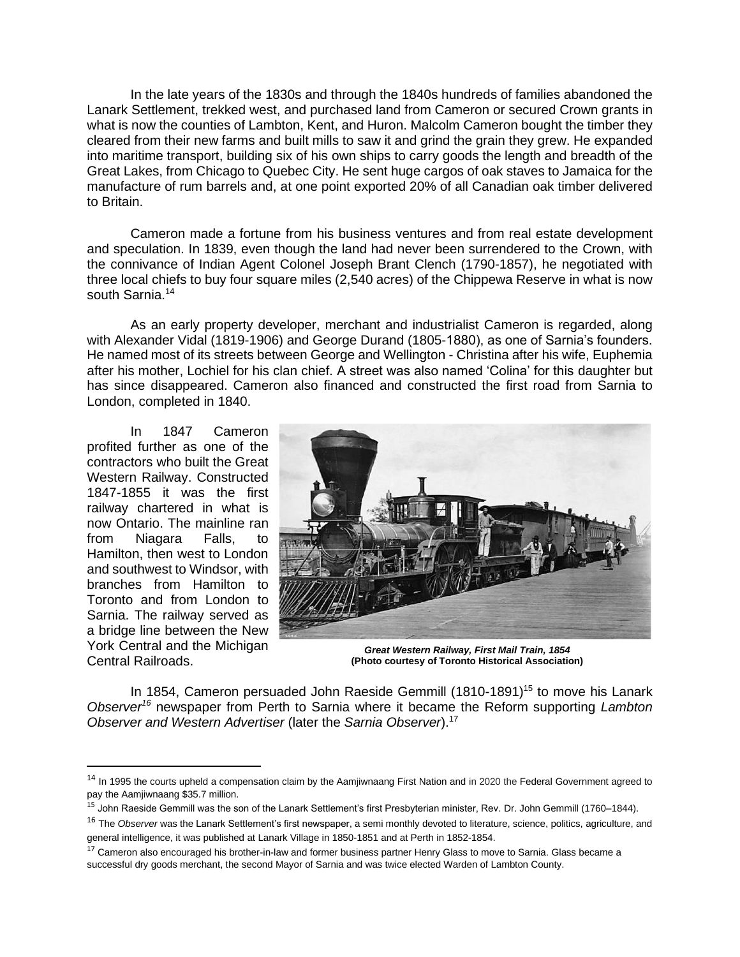In the late years of the 1830s and through the 1840s hundreds of families abandoned the Lanark Settlement, trekked west, and purchased land from Cameron or secured Crown grants in what is now the counties of Lambton, Kent, and Huron. Malcolm Cameron bought the timber they cleared from their new farms and built mills to saw it and grind the grain they grew. He expanded into maritime transport, building six of his own ships to carry goods the length and breadth of the Great Lakes, from Chicago to Quebec City. He sent huge cargos of oak staves to Jamaica for the manufacture of rum barrels and, at one point exported 20% of all Canadian oak timber delivered to Britain.

Cameron made a fortune from his business ventures and from real estate development and speculation. In 1839, even though the land had never been surrendered to the Crown, with the connivance of Indian Agent Colonel Joseph Brant Clench (1790-1857), he negotiated with three local chiefs to buy four square miles (2,540 acres) of the Chippewa Reserve in what is now south Sarnia. 14

As an early property developer, merchant and industrialist Cameron is regarded, along with Alexander Vidal (1819-1906) and George Durand (1805-1880), as one of Sarnia's founders. He named most of its streets between George and Wellington - Christina after his wife, Euphemia after his mother, Lochiel for his clan chief. A street was also named 'Colina' for this daughter but has since disappeared. Cameron also financed and constructed the first road from Sarnia to London, completed in 1840.

In 1847 Cameron profited further as one of the contractors who built the Great Western Railway. Constructed 1847-1855 it was the first railway chartered in what is now Ontario. The mainline ran from Niagara Falls, to Hamilton, then west to London and southwest to Windsor, with branches from Hamilton to Toronto and from London to Sarnia. The railway served as a bridge line between the New York Central and the Michigan Central Railroads.



*Great Western Railway, First Mail Train, 1854* **(Photo courtesy of Toronto Historical Association)**

In 1854, Cameron persuaded John Raeside Gemmill (1810-1891)<sup>15</sup> to move his Lanark *Observer<sup>16</sup>* newspaper from Perth to Sarnia where it became the Reform supporting *Lambton Observer and Western Advertiser* (later the *Sarnia Observer*).<sup>17</sup>

<sup>&</sup>lt;sup>14</sup> In 1995 the courts upheld a compensation claim by the Aamjiwnaang First Nation and in 2020 the Federal Government agreed to pay the Aamjiwnaang \$35.7 million.

<sup>15</sup> John Raeside Gemmill was the son of the Lanark Settlement's first Presbyterian minister, Rev. Dr. John Gemmill (1760–1844).

<sup>&</sup>lt;sup>16</sup> The *Observer* was the Lanark Settlement's first newspaper, a semi monthly devoted to literature, science, politics, agriculture, and general intelligence, it was published at Lanark Village in 1850-1851 and at Perth in 1852-1854.

<sup>&</sup>lt;sup>17</sup> Cameron also encouraged his brother-in-law and former business partner Henry Glass to move to Sarnia. Glass became a successful dry goods merchant, the second Mayor of Sarnia and was twice elected Warden of Lambton County.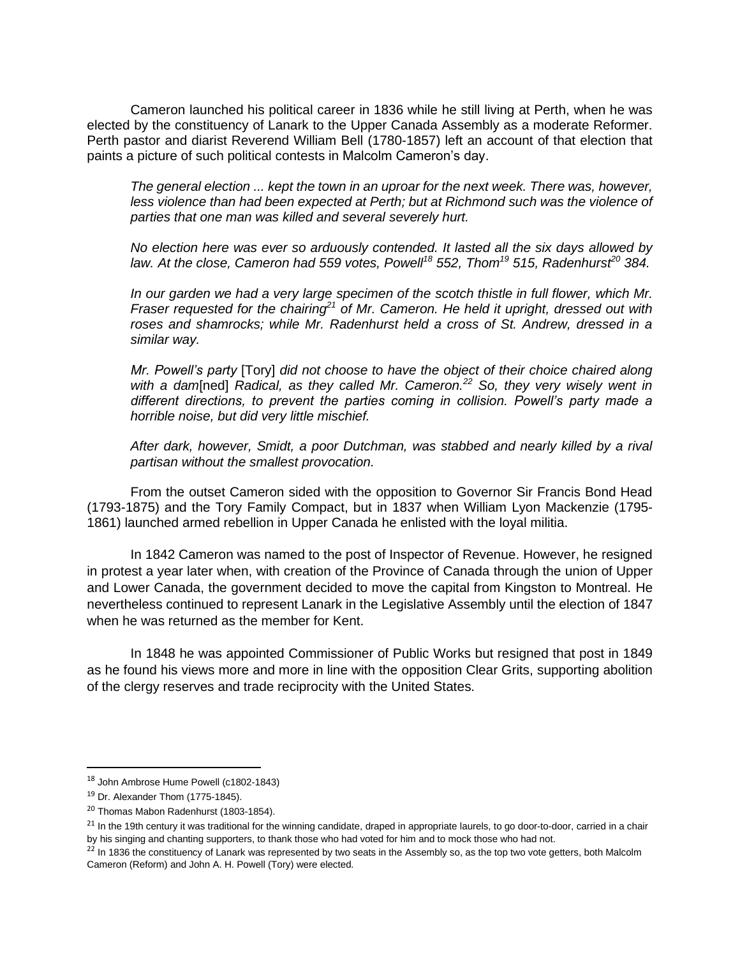Cameron launched his political career in 1836 while he still living at Perth, when he was elected by the constituency of Lanark to the Upper Canada Assembly as a moderate Reformer. Perth pastor and diarist Reverend William Bell (1780-1857) left an account of that election that paints a picture of such political contests in Malcolm Cameron's day.

*The general election ... kept the town in an uproar for the next week. There was, however, less violence than had been expected at Perth; but at Richmond such was the violence of parties that one man was killed and several severely hurt.*

*No election here was ever so arduously contended. It lasted all the six days allowed by law. At the close, Cameron had 559 votes, Powell<sup>18</sup> 552, Thom<sup>19</sup> 515, Radenhurst<sup>20</sup> 384.* 

*In our garden we had a very large specimen of the scotch thistle in full flower, which Mr. Fraser requested for the chairing<sup>21</sup> of Mr. Cameron. He held it upright, dressed out with roses and shamrocks; while Mr. Radenhurst held a cross of St. Andrew, dressed in a similar way.* 

*Mr. Powell's party* [Tory] *did not choose to have the object of their choice chaired along with a dam*[ned] *Radical, as they called Mr. Cameron.<sup>22</sup> So, they very wisely went in different directions, to prevent the parties coming in collision. Powell's party made a horrible noise, but did very little mischief.* 

*After dark, however, Smidt, a poor Dutchman, was stabbed and nearly killed by a rival partisan without the smallest provocation.* 

From the outset Cameron sided with the opposition to Governor Sir Francis Bond Head (1793-1875) and the Tory Family Compact, but in 1837 when William Lyon Mackenzie (1795- 1861) launched armed rebellion in Upper Canada he enlisted with the loyal militia.

In 1842 Cameron was named to the post of Inspector of Revenue. However, he resigned in protest a year later when, with creation of the Province of Canada through the union of Upper and Lower Canada, the government decided to move the capital from Kingston to Montreal. He nevertheless continued to represent Lanark in the Legislative Assembly until the election of 1847 when he was returned as the member for Kent.

In 1848 he was appointed Commissioner of Public Works but resigned that post in 1849 as he found his views more and more in line with the opposition Clear Grits, supporting abolition of the clergy reserves and trade reciprocity with the United States.

<sup>18</sup> John Ambrose Hume Powell (c1802-1843)

 $19$  Dr. Alexander Thom (1775-1845).

<sup>20</sup> Thomas Mabon Radenhurst (1803-1854).

<sup>&</sup>lt;sup>21</sup> In the 19th century it was traditional for the winning candidate, draped in appropriate laurels, to go door-to-door, carried in a chair by his singing and chanting supporters, to thank those who had voted for him and to mock those who had not.

 $^{22}$  In 1836 the constituency of Lanark was represented by two seats in the Assembly so, as the top two vote getters, both Malcolm Cameron (Reform) and John A. H. Powell (Tory) were elected.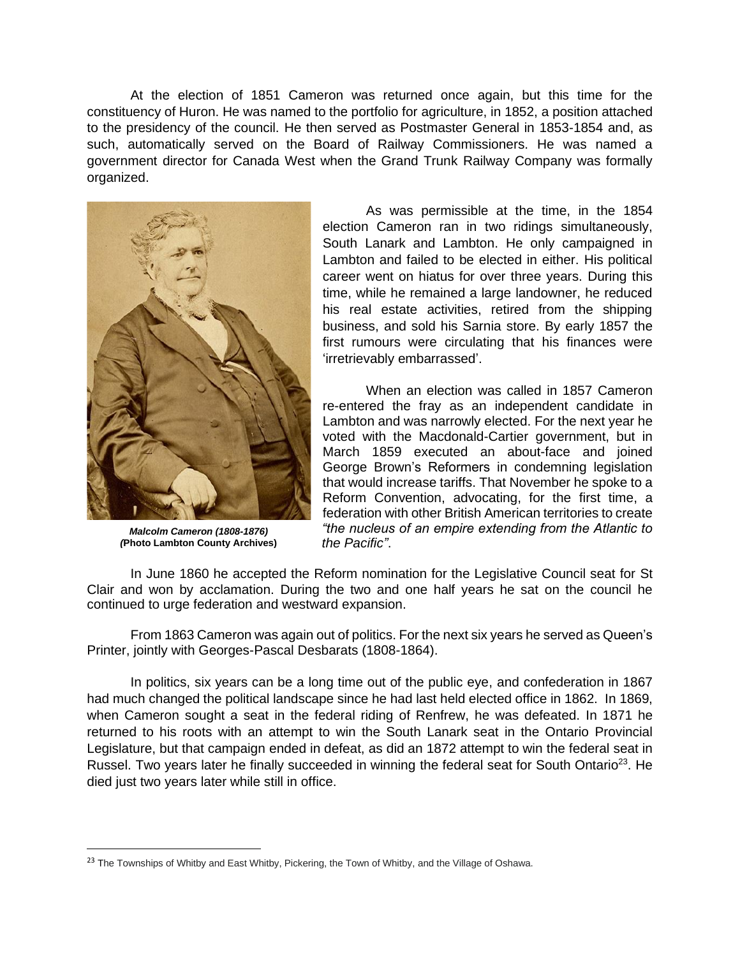At the election of 1851 Cameron was returned once again, but this time for the constituency of Huron. He was named to the portfolio for agriculture, in 1852, a position attached to the presidency of the council. He then served as Postmaster General in 1853-1854 and, as such, automatically served on the Board of Railway Commissioners. He was named a government director for Canada West when the Grand Trunk Railway Company was formally organized.



*Malcolm Cameron (1808-1876) (***Photo Lambton County Archives)**

As was permissible at the time, in the 1854 election Cameron ran in two ridings simultaneously, South Lanark and Lambton. He only campaigned in Lambton and failed to be elected in either. His political career went on hiatus for over three years. During this time, while he remained a large landowner, he reduced his real estate activities, retired from the shipping business, and sold his Sarnia store. By early 1857 the first rumours were circulating that his finances were 'irretrievably embarrassed'.

When an election was called in 1857 Cameron re-entered the fray as an independent candidate in Lambton and was narrowly elected. For the next year he voted with the Macdonald-Cartier government, but in March 1859 executed an about-face and joined George Brown's Reformers in condemning legislation that would increase tariffs. That November he spoke to a Reform Convention, advocating, for the first time, a federation with other British American territories to create *"the nucleus of an empire extending from the Atlantic to the Pacific"*.

In June 1860 he accepted the Reform nomination for the Legislative Council seat for St Clair and won by acclamation. During the two and one half years he sat on the council he continued to urge federation and westward expansion.

From 1863 Cameron was again out of politics. For the next six years he served as Queen's Printer, jointly with Georges-Pascal Desbarats (1808-1864).

In politics, six years can be a long time out of the public eye, and confederation in 1867 had much changed the political landscape since he had last held elected office in 1862. In 1869, when Cameron sought a seat in the federal riding of Renfrew, he was defeated. In 1871 he returned to his roots with an attempt to win the South Lanark seat in the Ontario Provincial Legislature, but that campaign ended in defeat, as did an 1872 attempt to win the federal seat in Russel. Two years later he finally succeeded in winning the federal seat for South Ontario<sup>23</sup>. He died just two years later while still in office.

<sup>&</sup>lt;sup>23</sup> The Townships of Whitby and East Whitby, Pickering, the Town of Whitby, and the Village of Oshawa.